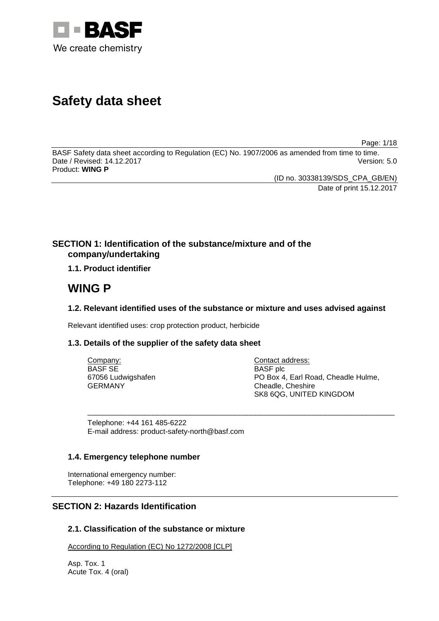

# **Safety data sheet**

Page: 1/18

BASF Safety data sheet according to Regulation (EC) No. 1907/2006 as amended from time to time. Date / Revised: 14.12.2017 Product: **WING P**

(ID no. 30338139/SDS\_CPA\_GB/EN)

Date of print 15.12.2017

# **SECTION 1: Identification of the substance/mixture and of the company/undertaking**

**1.1. Product identifier**

# **WING P**

# **1.2. Relevant identified uses of the substance or mixture and uses advised against**

Relevant identified uses: crop protection product, herbicide

# **1.3. Details of the supplier of the safety data sheet**

| Company:           | Contact address:                    |
|--------------------|-------------------------------------|
| BASF SE            | <b>BASF</b> plc                     |
| 67056 Ludwigshafen | PO Box 4, Earl Road, Cheadle Hulme, |
| GERMANY            | Cheadle, Cheshire                   |
|                    | SK8 6QG, UNITED KINGDOM             |

\_\_\_\_\_\_\_\_\_\_\_\_\_\_\_\_\_\_\_\_\_\_\_\_\_\_\_\_\_\_\_\_\_\_\_\_\_\_\_\_\_\_\_\_\_\_\_\_\_\_\_\_\_\_\_\_\_\_\_\_\_\_\_\_\_\_\_\_\_\_\_\_\_\_\_

Telephone: +44 161 485-6222 E-mail address: product-safety-north@basf.com

# **1.4. Emergency telephone number**

International emergency number: Telephone: +49 180 2273-112

# **SECTION 2: Hazards Identification**

# **2.1. Classification of the substance or mixture**

According to Regulation (EC) No 1272/2008 [CLP]

Asp. Tox. 1 Acute Tox. 4 (oral)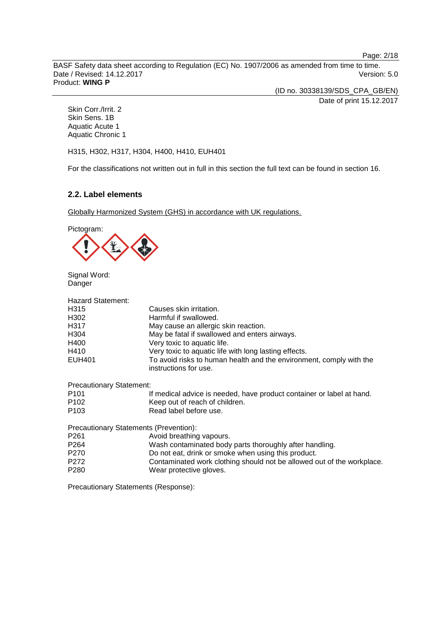Page: 2/18

BASF Safety data sheet according to Regulation (EC) No. 1907/2006 as amended from time to time. Date / Revised: 14.12.2017 **Version: 5.0** Product: **WING P**

> (ID no. 30338139/SDS\_CPA\_GB/EN) Date of print 15.12.2017

Skin Corr./Irrit. 2 Skin Sens. 1B Aquatic Acute 1 Aquatic Chronic 1

H315, H302, H317, H304, H400, H410, EUH401

For the classifications not written out in full in this section the full text can be found in section 16.

# **2.2. Label elements**

Globally Harmonized System (GHS) in accordance with UK regulations.

Pictogram:



Signal Word: Danger

| <b>Hazard Statement:</b>               |                                                                                              |
|----------------------------------------|----------------------------------------------------------------------------------------------|
| H315                                   | Causes skin irritation.                                                                      |
| H302                                   | Harmful if swallowed.                                                                        |
| H317                                   | May cause an allergic skin reaction.                                                         |
| H304                                   | May be fatal if swallowed and enters airways.                                                |
| H400                                   | Very toxic to aquatic life.                                                                  |
| H410                                   | Very toxic to aquatic life with long lasting effects.                                        |
| EUH401                                 | To avoid risks to human health and the environment, comply with the<br>instructions for use. |
| <b>Precautionary Statement:</b>        |                                                                                              |
| P <sub>101</sub>                       | If medical advice is needed, have product container or label at hand.                        |
| P <sub>102</sub>                       | Keep out of reach of children.                                                               |
| P <sub>103</sub>                       | Read label before use.                                                                       |
| Precautionary Statements (Prevention): |                                                                                              |
| P <sub>261</sub>                       | Avoid breathing vapours.                                                                     |
| P <sub>264</sub>                       | Wash contaminated body parts thoroughly after handling.                                      |
| P270                                   | Do not eat, drink or smoke when using this product.                                          |
| P <sub>272</sub>                       | Contaminated work clothing should not be allowed out of the workplace.                       |
| P <sub>280</sub>                       | Wear protective gloves.                                                                      |

Precautionary Statements (Response):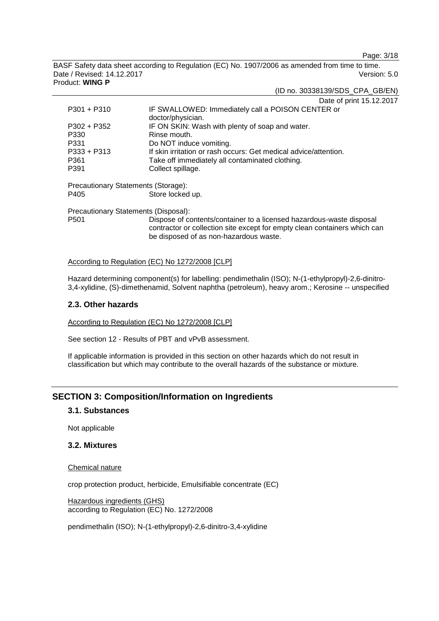Page: 3/18

(ID no. 30338139/SDS\_CPA\_GB/EN)

BASF Safety data sheet according to Regulation (EC) No. 1907/2006 as amended from time to time. Date / Revised: 14.12.2017 Version: 5.0 Product: **WING P**

|                                      | Date of print 15.12.2017                                                                                                                                                                    |  |
|--------------------------------------|---------------------------------------------------------------------------------------------------------------------------------------------------------------------------------------------|--|
| $P301 + P310$                        | IF SWALLOWED: Immediately call a POISON CENTER or                                                                                                                                           |  |
|                                      | doctor/physician.                                                                                                                                                                           |  |
| $P302 + P352$                        | IF ON SKIN: Wash with plenty of soap and water.                                                                                                                                             |  |
| P330                                 | Rinse mouth.                                                                                                                                                                                |  |
| P331                                 | Do NOT induce vomiting.                                                                                                                                                                     |  |
| $P333 + P313$                        | If skin irritation or rash occurs: Get medical advice/attention.                                                                                                                            |  |
| P361                                 | Take off immediately all contaminated clothing.                                                                                                                                             |  |
| P391                                 | Collect spillage.                                                                                                                                                                           |  |
| Precautionary Statements (Storage):  |                                                                                                                                                                                             |  |
| P405                                 | Store locked up.                                                                                                                                                                            |  |
| Precautionary Statements (Disposal): |                                                                                                                                                                                             |  |
| P <sub>501</sub>                     | Dispose of contents/container to a licensed hazardous-waste disposal<br>contractor or collection site except for empty clean containers which can<br>be disposed of as non-hazardous waste. |  |

### According to Regulation (EC) No 1272/2008 [CLP]

Hazard determining component(s) for labelling: pendimethalin (ISO); N-(1-ethylpropyl)-2,6-dinitro-3,4-xylidine, (S)-dimethenamid, Solvent naphtha (petroleum), heavy arom.; Kerosine -- unspecified

### **2.3. Other hazards**

According to Regulation (EC) No 1272/2008 [CLP]

See section 12 - Results of PBT and vPvB assessment.

If applicable information is provided in this section on other hazards which do not result in classification but which may contribute to the overall hazards of the substance or mixture.

# **SECTION 3: Composition/Information on Ingredients**

### **3.1. Substances**

Not applicable

### **3.2. Mixtures**

Chemical nature

crop protection product, herbicide, Emulsifiable concentrate (EC)

Hazardous ingredients (GHS) according to Regulation (EC) No. 1272/2008

pendimethalin (ISO); N-(1-ethylpropyl)-2,6-dinitro-3,4-xylidine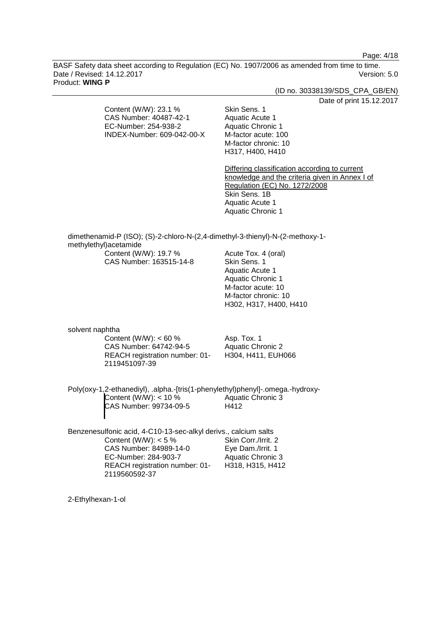Page: 4/18

BASF Safety data sheet according to Regulation (EC) No. 1907/2006 as amended from time to time. Date / Revised: 14.12.2017 Version: 5.0 Product: **WING P**

(ID no. 30338139/SDS\_CPA\_GB/EN)

Date of print 15.12.2017

Content (W/W): 23.1 % CAS Number: 40487-42-1 EC-Number: 254-938-2 INDEX-Number: 609-042-00-X

Skin Sens. 1 Aquatic Acute 1 Aquatic Chronic 1 M-factor acute: 100 M-factor chronic: 10 H317, H400, H410

Differing classification according to current knowledge and the criteria given in Annex I of Regulation (EC) No. 1272/2008 Skin Sens. 1B Aquatic Acute 1 Aquatic Chronic 1

dimethenamid-P (ISO); (S)-2-chloro-N-(2,4-dimethyl-3-thienyl)-N-(2-methoxy-1 methylethyl)acetamide

Content (W/W): 19.7 % CAS Number: 163515-14-8 Acute Tox. 4 (oral) Skin Sens. 1 Aquatic Acute 1 Aquatic Chronic 1 M-factor acute: 10 M-factor chronic: 10 H302, H317, H400, H410

solvent naphtha

Content (W/W):  $< 60 \%$ CAS Number: 64742-94-5 REACH registration number: 01- 2119451097-39

Asp. Tox. 1 Aquatic Chronic 2 H304, H411, EUH066

Poly(oxy-1,2-ethanediyl), .alpha.-[tris(1-phenylethyl)phenyl]-.omega.-hydroxy-Content (W/W): < 10 % CAS Number: 99734-09-5 Aquatic Chronic 3 H412

Benzenesulfonic acid, 4-C10-13-sec-alkyl derivs., calcium salts Content (W/W):  $< 5 \%$ CAS Number: 84989-14-0 EC-Number: 284-903-7 REACH registration number: 01- 2119560592-37 Skin Corr./Irrit. 2 Eye Dam./Irrit. 1 Aquatic Chronic 3 H318, H315, H412

2-Ethylhexan-1-ol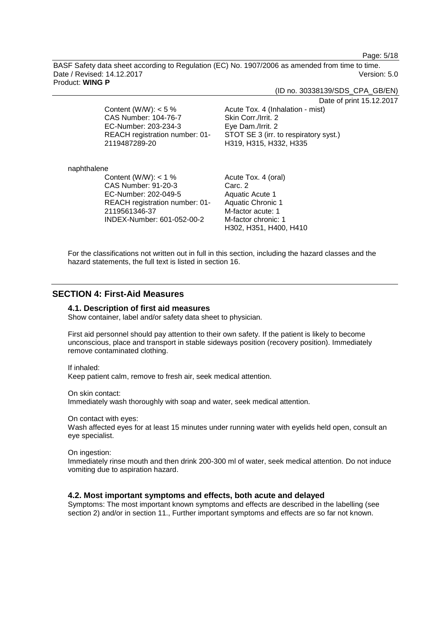Page: 5/18

BASF Safety data sheet according to Regulation (EC) No. 1907/2006 as amended from time to time. Date / Revised: 14.12.2017 Version: 5.0 Product: **WING P**

(ID no. 30338139/SDS\_CPA\_GB/EN)

Date of print 15.12.2017

Content (W/W):  $< 5 \%$ CAS Number: 104-76-7 EC-Number: 203-234-3 REACH registration number: 01- 2119487289-20

Acute Tox. 4 (Inhalation - mist) Skin Corr./Irrit. 2 Eye Dam./Irrit. 2 STOT SE 3 (irr. to respiratory syst.) H319, H315, H332, H335

naphthalene

Content (W/W):  $<$  1 % CAS Number: 91-20-3 EC-Number: 202-049-5 REACH registration number: 01- 2119561346-37 INDEX-Number: 601-052-00-2

Acute Tox. 4 (oral) Carc. 2 Aquatic Acute 1 Aquatic Chronic 1 M-factor acute: 1 M-factor chronic: 1 H302, H351, H400, H410

For the classifications not written out in full in this section, including the hazard classes and the hazard statements, the full text is listed in section 16.

# **SECTION 4: First-Aid Measures**

### **4.1. Description of first aid measures**

Show container, label and/or safety data sheet to physician.

First aid personnel should pay attention to their own safety. If the patient is likely to become unconscious, place and transport in stable sideways position (recovery position). Immediately remove contaminated clothing.

If inhaled:

Keep patient calm, remove to fresh air, seek medical attention.

On skin contact:

Immediately wash thoroughly with soap and water, seek medical attention.

On contact with eyes:

Wash affected eyes for at least 15 minutes under running water with eyelids held open, consult an eye specialist.

On ingestion:

Immediately rinse mouth and then drink 200-300 ml of water, seek medical attention. Do not induce vomiting due to aspiration hazard.

# **4.2. Most important symptoms and effects, both acute and delayed**

Symptoms: The most important known symptoms and effects are described in the labelling (see section 2) and/or in section 11., Further important symptoms and effects are so far not known.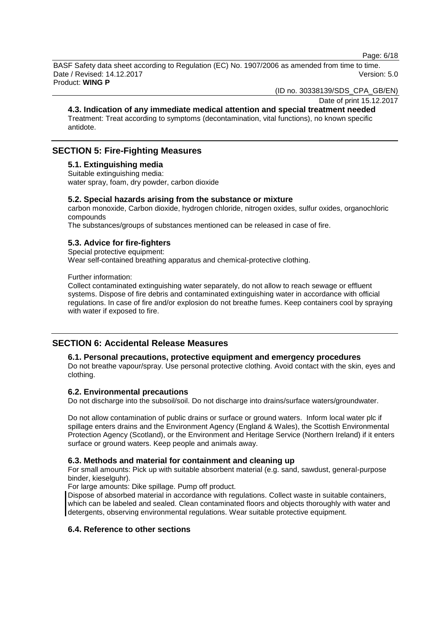Page: 6/18

BASF Safety data sheet according to Regulation (EC) No. 1907/2006 as amended from time to time. Date / Revised: 14.12.2017 Version: 5.0 Product: **WING P**

(ID no. 30338139/SDS\_CPA\_GB/EN)

# Date of print 15.12.2017

**4.3. Indication of any immediate medical attention and special treatment needed** Treatment: Treat according to symptoms (decontamination, vital functions), no known specific antidote.

# **SECTION 5: Fire-Fighting Measures**

### **5.1. Extinguishing media**

Suitable extinguishing media: water spray, foam, dry powder, carbon dioxide

### **5.2. Special hazards arising from the substance or mixture**

carbon monoxide, Carbon dioxide, hydrogen chloride, nitrogen oxides, sulfur oxides, organochloric compounds

The substances/groups of substances mentioned can be released in case of fire.

# **5.3. Advice for fire-fighters**

Special protective equipment: Wear self-contained breathing apparatus and chemical-protective clothing.

Further information:

Collect contaminated extinguishing water separately, do not allow to reach sewage or effluent systems. Dispose of fire debris and contaminated extinguishing water in accordance with official regulations. In case of fire and/or explosion do not breathe fumes. Keep containers cool by spraying with water if exposed to fire.

# **SECTION 6: Accidental Release Measures**

### **6.1. Personal precautions, protective equipment and emergency procedures**

Do not breathe vapour/spray. Use personal protective clothing. Avoid contact with the skin, eyes and clothing.

### **6.2. Environmental precautions**

Do not discharge into the subsoil/soil. Do not discharge into drains/surface waters/groundwater.

Do not allow contamination of public drains or surface or ground waters. Inform local water plc if spillage enters drains and the Environment Agency (England & Wales), the Scottish Environmental Protection Agency (Scotland), or the Environment and Heritage Service (Northern Ireland) if it enters surface or ground waters. Keep people and animals away.

### **6.3. Methods and material for containment and cleaning up**

For small amounts: Pick up with suitable absorbent material (e.g. sand, sawdust, general-purpose binder, kieselguhr).

For large amounts: Dike spillage. Pump off product.

Dispose of absorbed material in accordance with regulations. Collect waste in suitable containers, which can be labeled and sealed. Clean contaminated floors and objects thoroughly with water and detergents, observing environmental regulations. Wear suitable protective equipment.

# **6.4. Reference to other sections**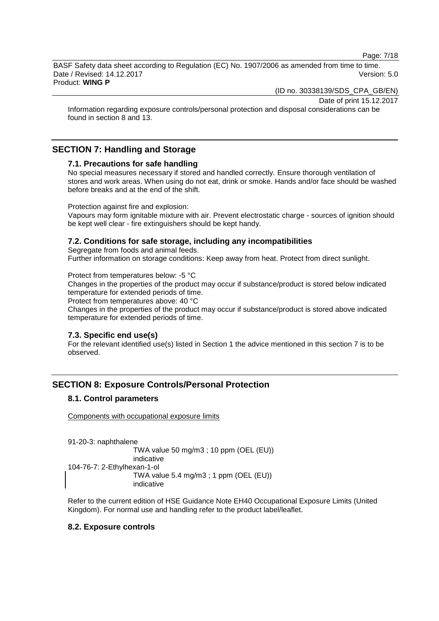Page: 7/18

BASF Safety data sheet according to Regulation (EC) No. 1907/2006 as amended from time to time. Date / Revised: 14.12.2017 Version: 5.0 Product: **WING P**

(ID no. 30338139/SDS\_CPA\_GB/EN)

Date of print 15.12.2017

Information regarding exposure controls/personal protection and disposal considerations can be found in section 8 and 13.

# **SECTION 7: Handling and Storage**

### **7.1. Precautions for safe handling**

No special measures necessary if stored and handled correctly. Ensure thorough ventilation of stores and work areas. When using do not eat, drink or smoke. Hands and/or face should be washed before breaks and at the end of the shift.

Protection against fire and explosion:

Vapours may form ignitable mixture with air. Prevent electrostatic charge - sources of ignition should be kept well clear - fire extinguishers should be kept handy.

# **7.2. Conditions for safe storage, including any incompatibilities**

Segregate from foods and animal feeds. Further information on storage conditions: Keep away from heat. Protect from direct sunlight.

Protect from temperatures below: -5 °C

Changes in the properties of the product may occur if substance/product is stored below indicated temperature for extended periods of time.

Protect from temperatures above: 40 °C

Changes in the properties of the product may occur if substance/product is stored above indicated temperature for extended periods of time.

# **7.3. Specific end use(s)**

For the relevant identified use(s) listed in Section 1 the advice mentioned in this section 7 is to be observed.

# **SECTION 8: Exposure Controls/Personal Protection**

# **8.1. Control parameters**

Components with occupational exposure limits

91-20-3: naphthalene TWA value 50 mg/m3 ; 10 ppm (OEL (EU)) indicative 104-76-7: 2-Ethylhexan-1-ol TWA value 5.4 mg/m3 ; 1 ppm (OEL (EU)) indicative

Refer to the current edition of HSE Guidance Note EH40 Occupational Exposure Limits (United Kingdom). For normal use and handling refer to the product label/leaflet.

# **8.2. Exposure controls**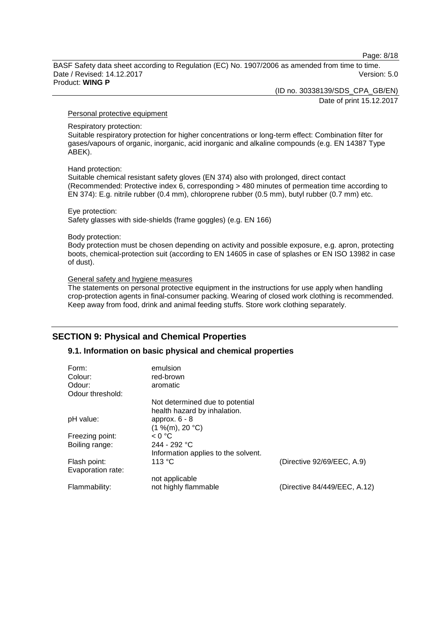Page: 8/18

BASF Safety data sheet according to Regulation (EC) No. 1907/2006 as amended from time to time. Date / Revised: 14.12.2017 **Version: 5.0** Product: **WING P**

(ID no. 30338139/SDS\_CPA\_GB/EN)

Date of print 15.12.2017

#### Personal protective equipment

Respiratory protection:

Suitable respiratory protection for higher concentrations or long-term effect: Combination filter for gases/vapours of organic, inorganic, acid inorganic and alkaline compounds (e.g. EN 14387 Type ABEK).

### Hand protection:

Suitable chemical resistant safety gloves (EN 374) also with prolonged, direct contact (Recommended: Protective index 6, corresponding > 480 minutes of permeation time according to EN 374): E.g. nitrile rubber (0.4 mm), chloroprene rubber (0.5 mm), butyl rubber (0.7 mm) etc.

#### Eye protection:

Safety glasses with side-shields (frame goggles) (e.g. EN 166)

#### Body protection:

Body protection must be chosen depending on activity and possible exposure, e.g. apron, protecting boots, chemical-protection suit (according to EN 14605 in case of splashes or EN ISO 13982 in case of dust).

### General safety and hygiene measures

The statements on personal protective equipment in the instructions for use apply when handling crop-protection agents in final-consumer packing. Wearing of closed work clothing is recommended. Keep away from food, drink and animal feeding stuffs. Store work clothing separately.

# **SECTION 9: Physical and Chemical Properties**

# **9.1. Information on basic physical and chemical properties**

| Form:<br>Colour:           | emulsion<br>red-brown                                           |                              |
|----------------------------|-----------------------------------------------------------------|------------------------------|
| Odour:<br>Odour threshold: | aromatic                                                        |                              |
|                            | Not determined due to potential<br>health hazard by inhalation. |                              |
| pH value:                  | approx. $6 - 8$<br>(1 %(m), 20 °C)                              |                              |
| Freezing point:            | < 0 °C                                                          |                              |
| Boiling range:             | $244 - 292 °C$                                                  |                              |
|                            | Information applies to the solvent.                             |                              |
| Flash point:               | 113 °C                                                          | (Directive 92/69/EEC, A.9)   |
| Evaporation rate:          |                                                                 |                              |
|                            | not applicable                                                  |                              |
| Flammability:              | not highly flammable                                            | (Directive 84/449/EEC, A.12) |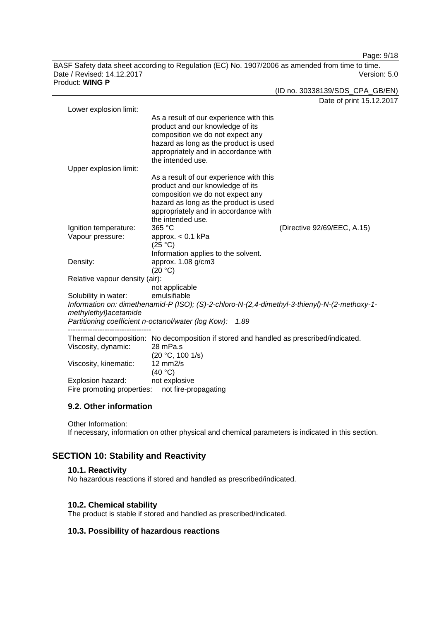Page: 9/18

BASF Safety data sheet according to Regulation (EC) No. 1907/2006 as amended from time to time. Date / Revised: 14.12.2017 Version: 5.0 Product: **WING P**

| duct: WING P                   |                                                                                               | (ID no. 30338139/SDS_CPA_GB/EN) |
|--------------------------------|-----------------------------------------------------------------------------------------------|---------------------------------|
|                                |                                                                                               | Date of print 15.12.2017        |
| Lower explosion limit:         | As a result of our experience with this                                                       |                                 |
|                                | product and our knowledge of its                                                              |                                 |
|                                | composition we do not expect any                                                              |                                 |
|                                | hazard as long as the product is used                                                         |                                 |
|                                | appropriately and in accordance with                                                          |                                 |
| Upper explosion limit:         | the intended use.                                                                             |                                 |
|                                | As a result of our experience with this                                                       |                                 |
|                                | product and our knowledge of its                                                              |                                 |
|                                | composition we do not expect any                                                              |                                 |
|                                | hazard as long as the product is used                                                         |                                 |
|                                | appropriately and in accordance with<br>the intended use.                                     |                                 |
| Ignition temperature:          | 365 °C                                                                                        | (Directive 92/69/EEC, A.15)     |
| Vapour pressure:               | approx. $< 0.1$ kPa                                                                           |                                 |
|                                | (25 °C)                                                                                       |                                 |
|                                | Information applies to the solvent.                                                           |                                 |
| Density:                       | approx. 1.08 g/cm3                                                                            |                                 |
|                                | (20 °C)                                                                                       |                                 |
| Relative vapour density (air): | not applicable                                                                                |                                 |
| Solubility in water:           | emulsifiable                                                                                  |                                 |
|                                | Information on: dimethenamid-P (ISO); (S)-2-chloro-N-(2,4-dimethyl-3-thienyl)-N-(2-methoxy-1- |                                 |
| methylethyl) acetamide         |                                                                                               |                                 |
|                                | Partitioning coefficient n-octanol/water (log Kow):<br>1.89                                   |                                 |
|                                | Thermal decomposition: No decomposition if stored and handled as prescribed/indicated.        |                                 |
| Viscosity, dynamic:            | 28 mPa.s                                                                                      |                                 |
|                                | (20 °C, 100 1/s)                                                                              |                                 |
| Viscosity, kinematic:          | $12$ mm $2/s$<br>(40 °C)                                                                      |                                 |
| Explosion hazard:              | not explosive                                                                                 |                                 |
| Fire promoting properties:     | not fire-propagating                                                                          |                                 |
|                                |                                                                                               |                                 |

# **9.2. Other information**

Other Information: If necessary, information on other physical and chemical parameters is indicated in this section.

# **SECTION 10: Stability and Reactivity**

# **10.1. Reactivity**

No hazardous reactions if stored and handled as prescribed/indicated.

# **10.2. Chemical stability**

The product is stable if stored and handled as prescribed/indicated.

# **10.3. Possibility of hazardous reactions**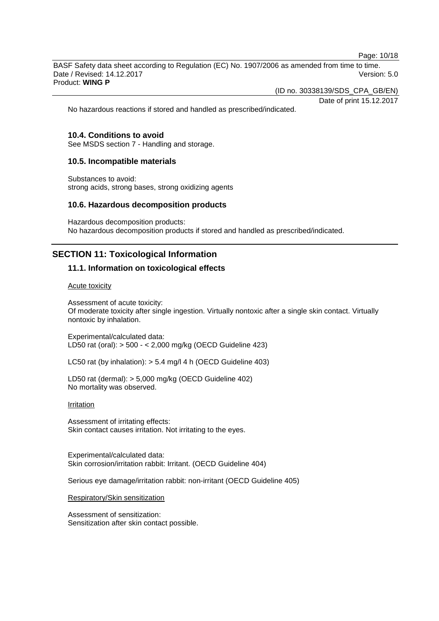Page: 10/18

BASF Safety data sheet according to Regulation (EC) No. 1907/2006 as amended from time to time. Date / Revised: 14.12.2017 Version: 5.0 Product: **WING P**

(ID no. 30338139/SDS\_CPA\_GB/EN)

Date of print 15.12.2017

No hazardous reactions if stored and handled as prescribed/indicated.

### **10.4. Conditions to avoid**

See MSDS section 7 - Handling and storage.

### **10.5. Incompatible materials**

Substances to avoid: strong acids, strong bases, strong oxidizing agents

### **10.6. Hazardous decomposition products**

Hazardous decomposition products: No hazardous decomposition products if stored and handled as prescribed/indicated.

# **SECTION 11: Toxicological Information**

### **11.1. Information on toxicological effects**

#### Acute toxicity

Assessment of acute toxicity: Of moderate toxicity after single ingestion. Virtually nontoxic after a single skin contact. Virtually nontoxic by inhalation.

Experimental/calculated data: LD50 rat (oral): > 500 - < 2,000 mg/kg (OECD Guideline 423)

LC50 rat (by inhalation): > 5.4 mg/l 4 h (OECD Guideline 403)

LD50 rat (dermal): > 5,000 mg/kg (OECD Guideline 402) No mortality was observed.

### Irritation

Assessment of irritating effects: Skin contact causes irritation. Not irritating to the eyes.

Experimental/calculated data: Skin corrosion/irritation rabbit: Irritant. (OECD Guideline 404)

Serious eye damage/irritation rabbit: non-irritant (OECD Guideline 405)

Respiratory/Skin sensitization

Assessment of sensitization: Sensitization after skin contact possible.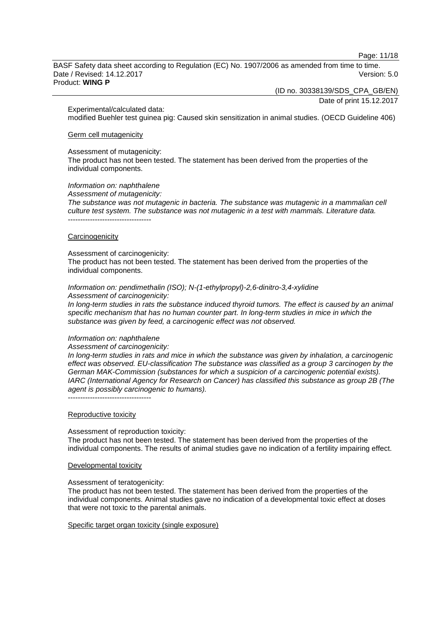Page: 11/18

BASF Safety data sheet according to Regulation (EC) No. 1907/2006 as amended from time to time. Date / Revised: 14.12.2017 Version: 5.0 Product: **WING P**

(ID no. 30338139/SDS\_CPA\_GB/EN)

Date of print 15.12.2017

Experimental/calculated data: modified Buehler test guinea pig: Caused skin sensitization in animal studies. (OECD Guideline 406)

### Germ cell mutagenicity

#### Assessment of mutagenicity:

The product has not been tested. The statement has been derived from the properties of the individual components.

*Information on: naphthalene*

*Assessment of mutagenicity:*

*The substance was not mutagenic in bacteria. The substance was mutagenic in a mammalian cell culture test system. The substance was not mutagenic in a test with mammals. Literature data.* ----------------------------------

#### **Carcinogenicity**

#### Assessment of carcinogenicity:

The product has not been tested. The statement has been derived from the properties of the individual components.

*Information on: pendimethalin (ISO); N-(1-ethylpropyl)-2,6-dinitro-3,4-xylidine Assessment of carcinogenicity:*

*In long-term studies in rats the substance induced thyroid tumors. The effect is caused by an animal specific mechanism that has no human counter part. In long-term studies in mice in which the substance was given by feed, a carcinogenic effect was not observed.*

### *Information on: naphthalene*

#### *Assessment of carcinogenicity:*

*In long-term studies in rats and mice in which the substance was given by inhalation, a carcinogenic effect was observed. EU-classification The substance was classified as a group 3 carcinogen by the German MAK-Commission (substances for which a suspicion of a carcinogenic potential exists). IARC (International Agency for Research on Cancer) has classified this substance as group 2B (The agent is possibly carcinogenic to humans).*

----------------------------------

# Reproductive toxicity

Assessment of reproduction toxicity: The product has not been tested. The statement has been derived from the properties of the individual components. The results of animal studies gave no indication of a fertility impairing effect.

### Developmental toxicity

Assessment of teratogenicity:

The product has not been tested. The statement has been derived from the properties of the individual components. Animal studies gave no indication of a developmental toxic effect at doses that were not toxic to the parental animals.

Specific target organ toxicity (single exposure)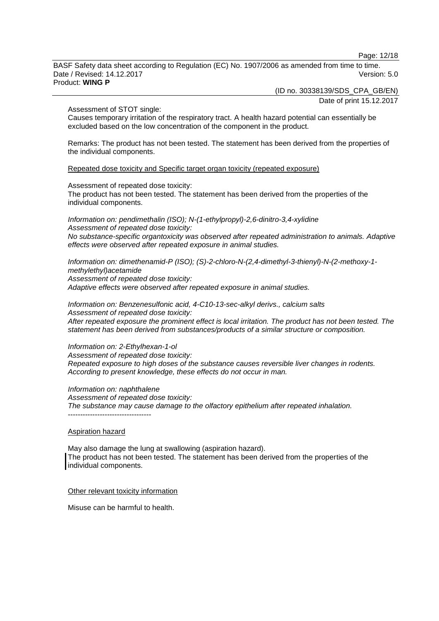Page: 12/18

BASF Safety data sheet according to Regulation (EC) No. 1907/2006 as amended from time to time. Date / Revised: 14.12.2017 Version: 5.0 Product: **WING P**

(ID no. 30338139/SDS\_CPA\_GB/EN)

Date of print 15.12.2017

Assessment of STOT single:

Causes temporary irritation of the respiratory tract. A health hazard potential can essentially be excluded based on the low concentration of the component in the product.

Remarks: The product has not been tested. The statement has been derived from the properties of the individual components.

Repeated dose toxicity and Specific target organ toxicity (repeated exposure)

Assessment of repeated dose toxicity:

The product has not been tested. The statement has been derived from the properties of the individual components.

*Information on: pendimethalin (ISO); N-(1-ethylpropyl)-2,6-dinitro-3,4-xylidine Assessment of repeated dose toxicity: No substance-specific organtoxicity was observed after repeated administration to animals. Adaptive effects were observed after repeated exposure in animal studies.*

*Information on: dimethenamid-P (ISO); (S)-2-chloro-N-(2,4-dimethyl-3-thienyl)-N-(2-methoxy-1 methylethyl)acetamide Assessment of repeated dose toxicity: Adaptive effects were observed after repeated exposure in animal studies.*

*Information on: Benzenesulfonic acid, 4-C10-13-sec-alkyl derivs., calcium salts Assessment of repeated dose toxicity: After repeated exposure the prominent effect is local irritation. The product has not been tested. The statement has been derived from substances/products of a similar structure or composition.*

*Information on: 2-Ethylhexan-1-ol Assessment of repeated dose toxicity: Repeated exposure to high doses of the substance causes reversible liver changes in rodents. According to present knowledge, these effects do not occur in man.*

*Information on: naphthalene Assessment of repeated dose toxicity: The substance may cause damage to the olfactory epithelium after repeated inhalation.*

### Aspiration hazard

----------------------------------

May also damage the lung at swallowing (aspiration hazard). The product has not been tested. The statement has been derived from the properties of the individual components.

Other relevant toxicity information

Misuse can be harmful to health.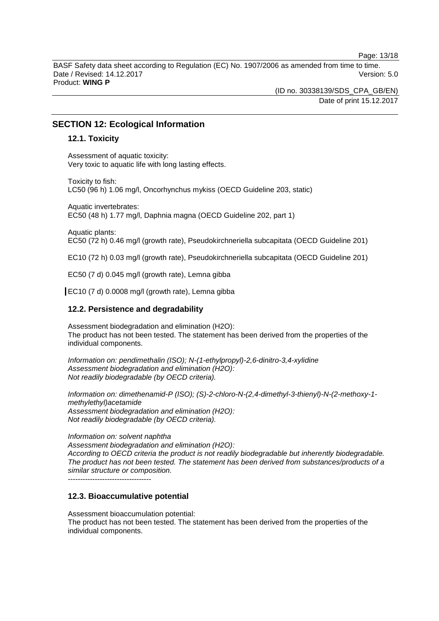Page: 13/18

BASF Safety data sheet according to Regulation (EC) No. 1907/2006 as amended from time to time. Date / Revised: 14.12.2017 **Version: 5.0** Product: **WING P**

> (ID no. 30338139/SDS\_CPA\_GB/EN) Date of print 15.12.2017

# **SECTION 12: Ecological Information**

### **12.1. Toxicity**

Assessment of aquatic toxicity: Very toxic to aquatic life with long lasting effects.

Toxicity to fish: LC50 (96 h) 1.06 mg/l, Oncorhynchus mykiss (OECD Guideline 203, static)

Aquatic invertebrates: EC50 (48 h) 1.77 mg/l, Daphnia magna (OECD Guideline 202, part 1)

Aquatic plants: EC50 (72 h) 0.46 mg/l (growth rate), Pseudokirchneriella subcapitata (OECD Guideline 201)

EC10 (72 h) 0.03 mg/l (growth rate), Pseudokirchneriella subcapitata (OECD Guideline 201)

EC50 (7 d) 0.045 mg/l (growth rate), Lemna gibba

EC10 (7 d) 0.0008 mg/l (growth rate), Lemna gibba

### **12.2. Persistence and degradability**

Assessment biodegradation and elimination (H2O): The product has not been tested. The statement has been derived from the properties of the individual components.

*Information on: pendimethalin (ISO); N-(1-ethylpropyl)-2,6-dinitro-3,4-xylidine Assessment biodegradation and elimination (H2O): Not readily biodegradable (by OECD criteria).*

*Information on: dimethenamid-P (ISO); (S)-2-chloro-N-(2,4-dimethyl-3-thienyl)-N-(2-methoxy-1 methylethyl)acetamide Assessment biodegradation and elimination (H2O): Not readily biodegradable (by OECD criteria).*

*Information on: solvent naphtha Assessment biodegradation and elimination (H2O): According to OECD criteria the product is not readily biodegradable but inherently biodegradable. The product has not been tested. The statement has been derived from substances/products of a similar structure or composition.*

----------------------------------

### **12.3. Bioaccumulative potential**

Assessment bioaccumulation potential: The product has not been tested. The statement has been derived from the properties of the individual components.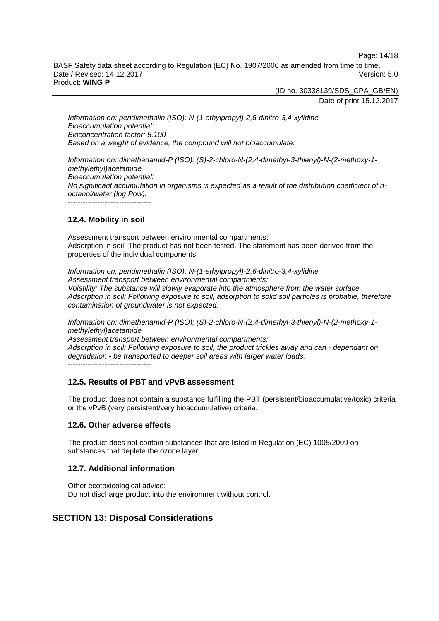Page: 14/18

BASF Safety data sheet according to Regulation (EC) No. 1907/2006 as amended from time to time. Date / Revised: 14.12.2017 **Version: 5.0** Product: **WING P**

(ID no. 30338139/SDS\_CPA\_GB/EN)

Date of print 15.12.2017

*Information on: pendimethalin (ISO); N-(1-ethylpropyl)-2,6-dinitro-3,4-xylidine Bioaccumulation potential: Bioconcentration factor: 5,100 Based on a weight of evidence, the compound will not bioaccumulate.*

*Information on: dimethenamid-P (ISO); (S)-2-chloro-N-(2,4-dimethyl-3-thienyl)-N-(2-methoxy-1 methylethyl)acetamide Bioaccumulation potential: No significant accumulation in organisms is expected as a result of the distribution coefficient of noctanol/water (log Pow).* ----------------------------------

# **12.4. Mobility in soil**

Assessment transport between environmental compartments: Adsorption in soil: The product has not been tested. The statement has been derived from the properties of the individual components.

*Information on: pendimethalin (ISO); N-(1-ethylpropyl)-2,6-dinitro-3,4-xylidine Assessment transport between environmental compartments: Volatility: The substance will slowly evaporate into the atmosphere from the water surface. Adsorption in soil: Following exposure to soil, adsorption to solid soil particles is probable, therefore contamination of groundwater is not expected.*

*Information on: dimethenamid-P (ISO); (S)-2-chloro-N-(2,4-dimethyl-3-thienyl)-N-(2-methoxy-1 methylethyl)acetamide Assessment transport between environmental compartments: Adsorption in soil: Following exposure to soil, the product trickles away and can - dependant on* 

*degradation - be transported to deeper soil areas with larger water loads.* ----------------------------------

# **12.5. Results of PBT and vPvB assessment**

The product does not contain a substance fulfilling the PBT (persistent/bioaccumulative/toxic) criteria or the vPvB (very persistent/very bioaccumulative) criteria.

# **12.6. Other adverse effects**

The product does not contain substances that are listed in Regulation (EC) 1005/2009 on substances that deplete the ozone layer.

# **12.7. Additional information**

Other ecotoxicological advice: Do not discharge product into the environment without control.

# **SECTION 13: Disposal Considerations**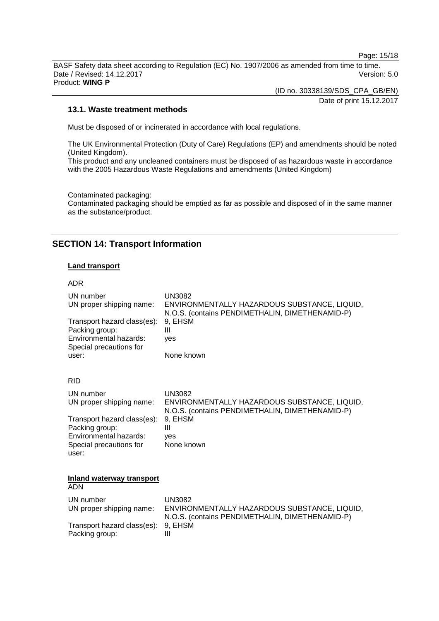Page: 15/18

BASF Safety data sheet according to Regulation (EC) No. 1907/2006 as amended from time to time. Date / Revised: 14.12.2017 **Version: 5.0** Product: **WING P**

(ID no. 30338139/SDS\_CPA\_GB/EN)

Date of print 15.12.2017

### **13.1. Waste treatment methods**

Must be disposed of or incinerated in accordance with local regulations.

The UK Environmental Protection (Duty of Care) Regulations (EP) and amendments should be noted (United Kingdom). This product and any uncleaned containers must be disposed of as hazardous waste in accordance

with the 2005 Hazardous Waste Regulations and amendments (United Kingdom)

Contaminated packaging: Contaminated packaging should be emptied as far as possible and disposed of in the same manner as the substance/product.

# **SECTION 14: Transport Information**

### **Land transport**

ADR UN number UN3082<br>UN proper shipping name: ENVIRO ENVIRONMENTALLY HAZARDOUS SUBSTANCE, LIQUID, N.O.S. (contains PENDIMETHALIN, DIMETHENAMID-P) Transport hazard class(es): 9, EHSM<br>Packing group: III Packing group: Environmental hazards: yes Special precautions for user: None known RID UN number UN3082 UN proper shipping name: ENVIRONMENTALLY HAZARDOUS SUBSTANCE, LIQUID, N.O.S. (contains PENDIMETHALIN, DIMETHENAMID-P) Transport hazard class(es): 9, EHSM Packing group: III Environmental hazards: yes Special precautions for user: None known **Inland waterway transport** ADN UN number UN3082<br>UN proper shipping name: ENVIRO ENVIRONMENTALLY HAZARDOUS SUBSTANCE, LIQUID, N.O.S. (contains PENDIMETHALIN, DIMETHENAMID-P) Transport hazard class(es): 9, EHSM Packing group: III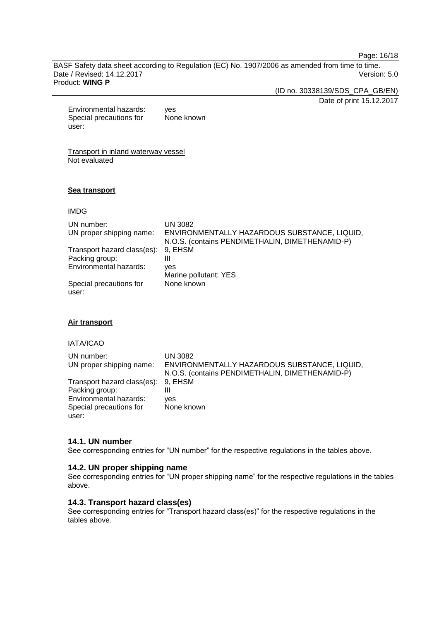Page: 16/18

BASF Safety data sheet according to Regulation (EC) No. 1907/2006 as amended from time to time. Date / Revised: 14.12.2017 Version: 5.0 Product: **WING P**

(ID no. 30338139/SDS\_CPA\_GB/EN)

Date of print 15.12.2017

Environmental hazards: yes Special precautions for user: None known

Transport in inland waterway vessel Not evaluated

### **Sea transport**

### IMDG

| UN number:<br>UN proper shipping name:        | <b>UN 3082</b><br>ENVIRONMENTALLY HAZARDOUS SUBSTANCE, LIQUID,<br>N.O.S. (contains PENDIMETHALIN, DIMETHENAMID-P) |
|-----------------------------------------------|-------------------------------------------------------------------------------------------------------------------|
| Transport hazard class(es):<br>Packing group: | 9, EHSM<br>Ш                                                                                                      |
| Environmental hazards:                        | ves<br>Marine pollutant: YES                                                                                      |
| Special precautions for<br>user:              | None known                                                                                                        |

### **Air transport**

# IATA/ICAO

| UN number:                          | UN 3082                                         |
|-------------------------------------|-------------------------------------------------|
| UN proper shipping name:            | ENVIRONMENTALLY HAZARDOUS SUBSTANCE, LIQUID,    |
|                                     | N.O.S. (contains PENDIMETHALIN, DIMETHENAMID-P) |
| Transport hazard class(es): 9, EHSM |                                                 |
| Packing group:                      |                                                 |
| Environmental hazards:              | ves                                             |
| Special precautions for             | None known                                      |
| user:                               |                                                 |

# **14.1. UN number**

See corresponding entries for "UN number" for the respective regulations in the tables above.

### **14.2. UN proper shipping name**

See corresponding entries for "UN proper shipping name" for the respective regulations in the tables above.

# **14.3. Transport hazard class(es)**

See corresponding entries for "Transport hazard class(es)" for the respective regulations in the tables above.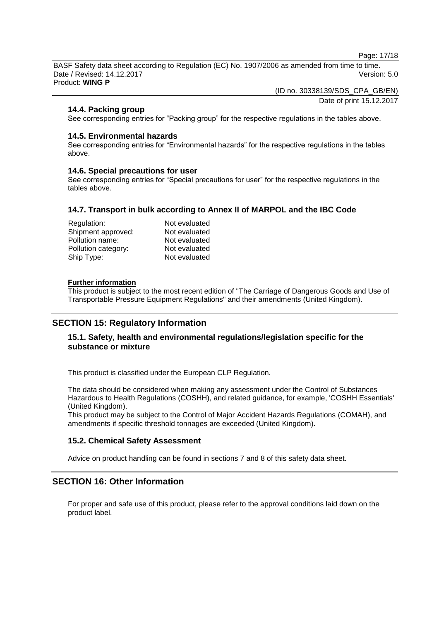Page: 17/18

BASF Safety data sheet according to Regulation (EC) No. 1907/2006 as amended from time to time. Date / Revised: 14.12.2017 Version: 5.0 Product: **WING P**

(ID no. 30338139/SDS\_CPA\_GB/EN)

Date of print 15.12.2017

# **14.4. Packing group**

See corresponding entries for "Packing group" for the respective regulations in the tables above.

# **14.5. Environmental hazards**

See corresponding entries for "Environmental hazards" for the respective regulations in the tables above.

# **14.6. Special precautions for user**

See corresponding entries for "Special precautions for user" for the respective regulations in the tables above.

# **14.7. Transport in bulk according to Annex II of MARPOL and the IBC Code**

| Regulation:         | Not evaluated |
|---------------------|---------------|
| Shipment approved:  | Not evaluated |
| Pollution name:     | Not evaluated |
| Pollution category: | Not evaluated |
| Ship Type:          | Not evaluated |

### **Further information**

This product is subject to the most recent edition of "The Carriage of Dangerous Goods and Use of Transportable Pressure Equipment Regulations" and their amendments (United Kingdom).

# **SECTION 15: Regulatory Information**

# **15.1. Safety, health and environmental regulations/legislation specific for the substance or mixture**

This product is classified under the European CLP Regulation.

The data should be considered when making any assessment under the Control of Substances Hazardous to Health Regulations (COSHH), and related guidance, for example, 'COSHH Essentials' (United Kingdom).

This product may be subject to the Control of Major Accident Hazards Regulations (COMAH), and amendments if specific threshold tonnages are exceeded (United Kingdom).

# **15.2. Chemical Safety Assessment**

Advice on product handling can be found in sections 7 and 8 of this safety data sheet.

# **SECTION 16: Other Information**

For proper and safe use of this product, please refer to the approval conditions laid down on the product label.